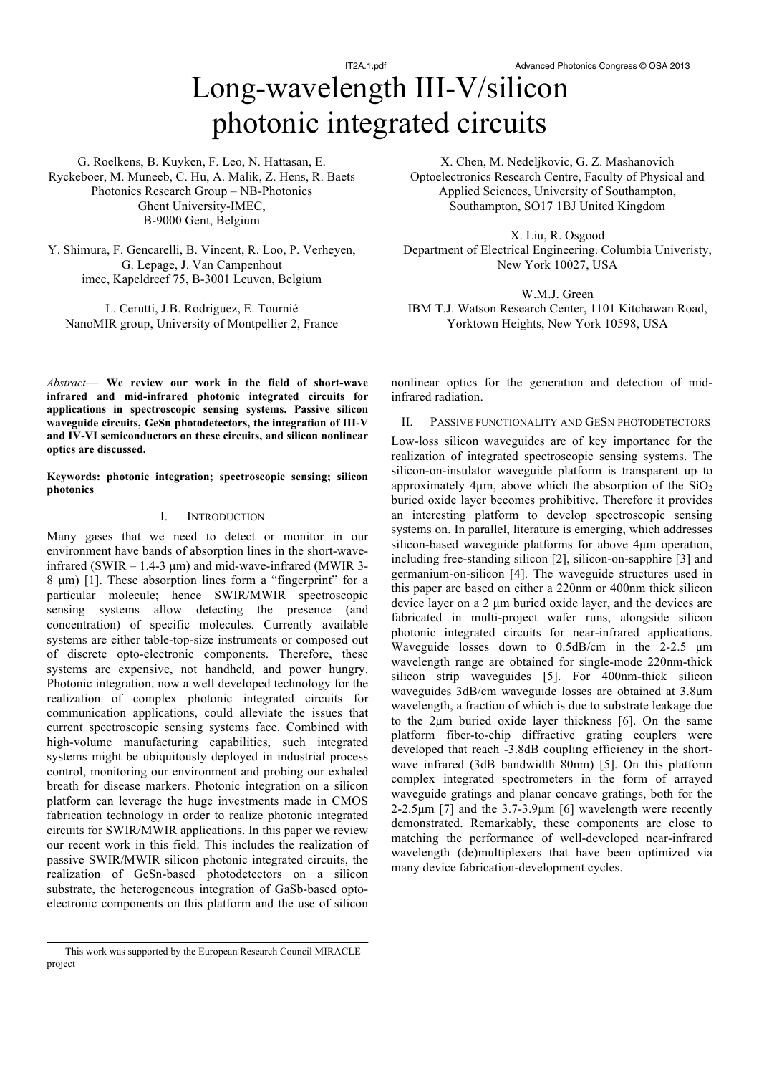# Long-wavelength III-V/silicon photonic integrated circuits

G. Roelkens, B. Kuyken, F. Leo, N. Hattasan, E. Ryckeboer, M. Muneeb, C. Hu, A. Malik, Z. Hens, R. Baets Photonics Research Group – NB-Photonics Ghent University-IMEC, B-9000 Gent, Belgium

Y. Shimura, F. Gencarelli, B. Vincent, R. Loo, P. Verheyen, G. Lepage, J. Van Campenhout imec, Kapeldreef 75, B-3001 Leuven, Belgium

L. Cerutti, J.B. Rodriguez, E. Tournié NanoMIR group, University of Montpellier 2, France

*Abstract*— **We review our work in the field of short-wave infrared and mid-infrared photonic integrated circuits for applications in spectroscopic sensing systems. Passive silicon waveguide circuits, GeSn photodetectors, the integration of III-V and IV-VI semiconductors on these circuits, and silicon nonlinear optics are discussed.**

**Keywords: photonic integration; spectroscopic sensing; silicon photonics**

# I. INTRODUCTION

Many gases that we need to detect or monitor in our environment have bands of absorption lines in the short-waveinfrared (SWIR  $-1.4-3 \mu m$ ) and mid-wave-infrared (MWIR 3-8 µm) [1]. These absorption lines form a "fingerprint" for a particular molecule; hence SWIR/MWIR spectroscopic sensing systems allow detecting the presence (and concentration) of specific molecules. Currently available systems are either table-top-size instruments or composed out of discrete opto-electronic components. Therefore, these systems are expensive, not handheld, and power hungry. Photonic integration, now a well developed technology for the realization of complex photonic integrated circuits for communication applications, could alleviate the issues that current spectroscopic sensing systems face. Combined with high-volume manufacturing capabilities, such integrated systems might be ubiquitously deployed in industrial process control, monitoring our environment and probing our exhaled breath for disease markers. Photonic integration on a silicon platform can leverage the huge investments made in CMOS fabrication technology in order to realize photonic integrated circuits for SWIR/MWIR applications. In this paper we review our recent work in this field. This includes the realization of passive SWIR/MWIR silicon photonic integrated circuits, the realization of GeSn-based photodetectors on a silicon substrate, the heterogeneous integration of GaSb-based optoelectronic components on this platform and the use of silicon

X. Chen, M. Nedeljkovic, G. Z. Mashanovich Optoelectronics Research Centre, Faculty of Physical and Applied Sciences, University of Southampton, Southampton, SO17 1BJ United Kingdom

X. Liu, R. Osgood Department of Electrical Engineering. Columbia Univeristy, New York 10027, USA

W.M.J. Green IBM T.J. Watson Research Center, 1101 Kitchawan Road, Yorktown Heights, New York 10598, USA

nonlinear optics for the generation and detection of midinfrared radiation.

II. PASSIVE FUNCTIONALITY AND GESN PHOTODETECTORS

Low-loss silicon waveguides are of key importance for the realization of integrated spectroscopic sensing systems. The silicon-on-insulator waveguide platform is transparent up to approximately 4 $\mu$ m, above which the absorption of the SiO<sub>2</sub> buried oxide layer becomes prohibitive. Therefore it provides an interesting platform to develop spectroscopic sensing systems on. In parallel, literature is emerging, which addresses silicon-based waveguide platforms for above 4µm operation, including free-standing silicon [2], silicon-on-sapphire [3] and germanium-on-silicon [4]. The waveguide structures used in this paper are based on either a 220nm or 400nm thick silicon device layer on a 2 µm buried oxide layer, and the devices are fabricated in multi-project wafer runs, alongside silicon photonic integrated circuits for near-infrared applications. Waveguide losses down to 0.5dB/cm in the 2-2.5  $\mu$ m wavelength range are obtained for single-mode 220nm-thick silicon strip waveguides [5]. For 400nm-thick silicon waveguides 3dB/cm waveguide losses are obtained at 3.8µm wavelength, a fraction of which is due to substrate leakage due to the 2µm buried oxide layer thickness [6]. On the same platform fiber-to-chip diffractive grating couplers were developed that reach -3.8dB coupling efficiency in the shortwave infrared (3dB bandwidth 80nm) [5]. On this platform complex integrated spectrometers in the form of arrayed waveguide gratings and planar concave gratings, both for the 2-2.5 $\mu$ m [7] and the 3.7-3.9 $\mu$ m [6] wavelength were recently demonstrated. Remarkably, these components are close to matching the performance of well-developed near-infrared wavelength (de)multiplexers that have been optimized via many device fabrication-development cycles.

This work was supported by the European Research Council MIRACLE project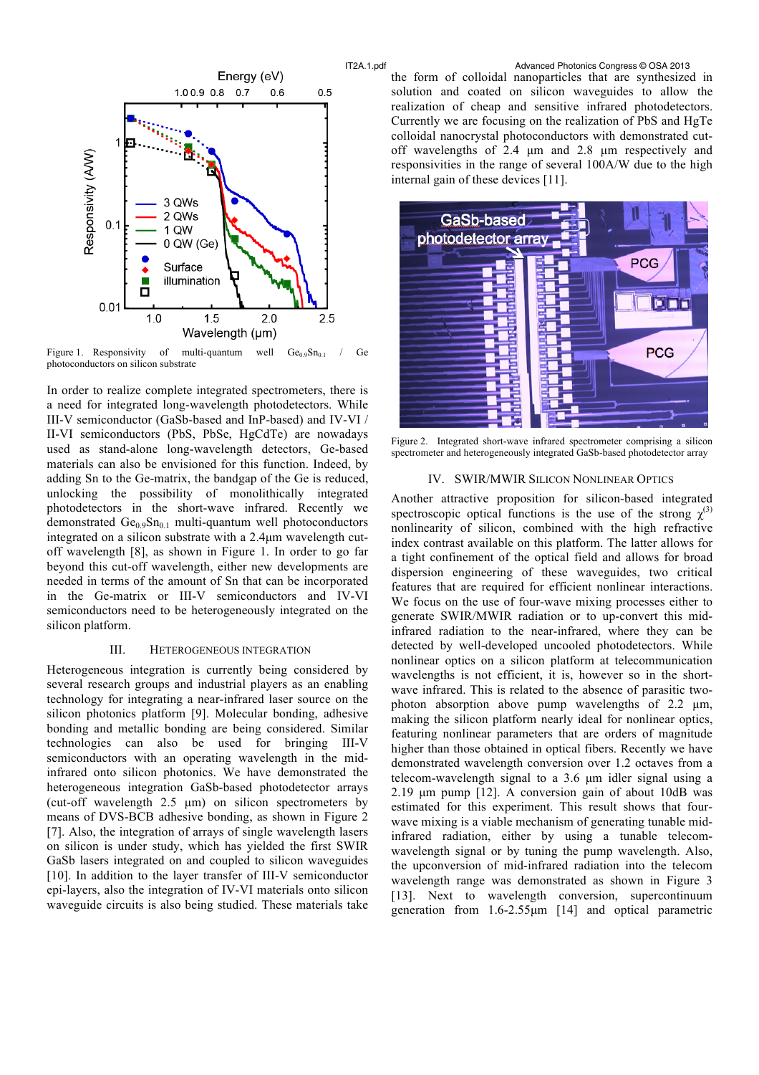

Figure 1. Responsivity of multi-quantum well  $Ge_{0.9}Sn_{0.1}$  / Ge photoconductors on silicon substrate

In order to realize complete integrated spectrometers, there is a need for integrated long-wavelength photodetectors. While III-V semiconductor (GaSb-based and InP-based) and IV-VI / II-VI semiconductors (PbS, PbSe, HgCdTe) are nowadays used as stand-alone long-wavelength detectors, Ge-based materials can also be envisioned for this function. Indeed, by adding Sn to the Ge-matrix, the bandgap of the Ge is reduced, unlocking the possibility of monolithically integrated photodetectors in the short-wave infrared. Recently we demonstrated  $Ge_0.9Sn_{0.1}$  multi-quantum well photoconductors integrated on a silicon substrate with a 2.4µm wavelength cutoff wavelength [8], as shown in Figure 1. In order to go far beyond this cut-off wavelength, either new developments are needed in terms of the amount of Sn that can be incorporated in the Ge-matrix or III-V semiconductors and IV-VI semiconductors need to be heterogeneously integrated on the silicon platform.

## III. HETEROGENEOUS INTEGRATION

Heterogeneous integration is currently being considered by several research groups and industrial players as an enabling technology for integrating a near-infrared laser source on the silicon photonics platform [9]. Molecular bonding, adhesive bonding and metallic bonding are being considered. Similar technologies can also be used for bringing III-V semiconductors with an operating wavelength in the midinfrared onto silicon photonics. We have demonstrated the heterogeneous integration GaSb-based photodetector arrays (cut-off wavelength 2.5 µm) on silicon spectrometers by means of DVS-BCB adhesive bonding, as shown in Figure 2 [7]. Also, the integration of arrays of single wavelength lasers on silicon is under study, which has yielded the first SWIR GaSb lasers integrated on and coupled to silicon waveguides [10]. In addition to the layer transfer of III-V semiconductor epi-layers, also the integration of IV-VI materials onto silicon waveguide circuits is also being studied. These materials take

IT2A.1.pdf Advanced Photonics Congress © OSA 2013 the form of colloidal nanoparticles that are synthesized in solution and coated on silicon waveguides to allow the realization of cheap and sensitive infrared photodetectors. Currently we are focusing on the realization of PbS and HgTe colloidal nanocrystal photoconductors with demonstrated cutoff wavelengths of 2.4 µm and 2.8 µm respectively and responsivities in the range of several 100A/W due to the high internal gain of these devices [11].



Figure 2. Integrated short-wave infrared spectrometer comprising a silicon spectrometer and heterogeneously integrated GaSb-based photodetector array

#### IV. SWIR/MWIR SILICON NONLINEAR OPTICS

Another attractive proposition for silicon-based integrated spectroscopic optical functions is the use of the strong  $\chi^{(3)}$ nonlinearity of silicon, combined with the high refractive index contrast available on this platform. The latter allows for a tight confinement of the optical field and allows for broad dispersion engineering of these waveguides, two critical features that are required for efficient nonlinear interactions. We focus on the use of four-wave mixing processes either to generate SWIR/MWIR radiation or to up-convert this midinfrared radiation to the near-infrared, where they can be detected by well-developed uncooled photodetectors. While nonlinear optics on a silicon platform at telecommunication wavelengths is not efficient, it is, however so in the shortwave infrared. This is related to the absence of parasitic twophoton absorption above pump wavelengths of 2.2 µm, making the silicon platform nearly ideal for nonlinear optics, featuring nonlinear parameters that are orders of magnitude higher than those obtained in optical fibers. Recently we have demonstrated wavelength conversion over 1.2 octaves from a telecom-wavelength signal to a 3.6 µm idler signal using a 2.19 um pump [12]. A conversion gain of about 10dB was estimated for this experiment. This result shows that fourwave mixing is a viable mechanism of generating tunable midinfrared radiation, either by using a tunable telecomwavelength signal or by tuning the pump wavelength. Also, the upconversion of mid-infrared radiation into the telecom wavelength range was demonstrated as shown in Figure 3 [13]. Next to wavelength conversion, supercontinuum generation from 1.6-2.55µm [14] and optical parametric